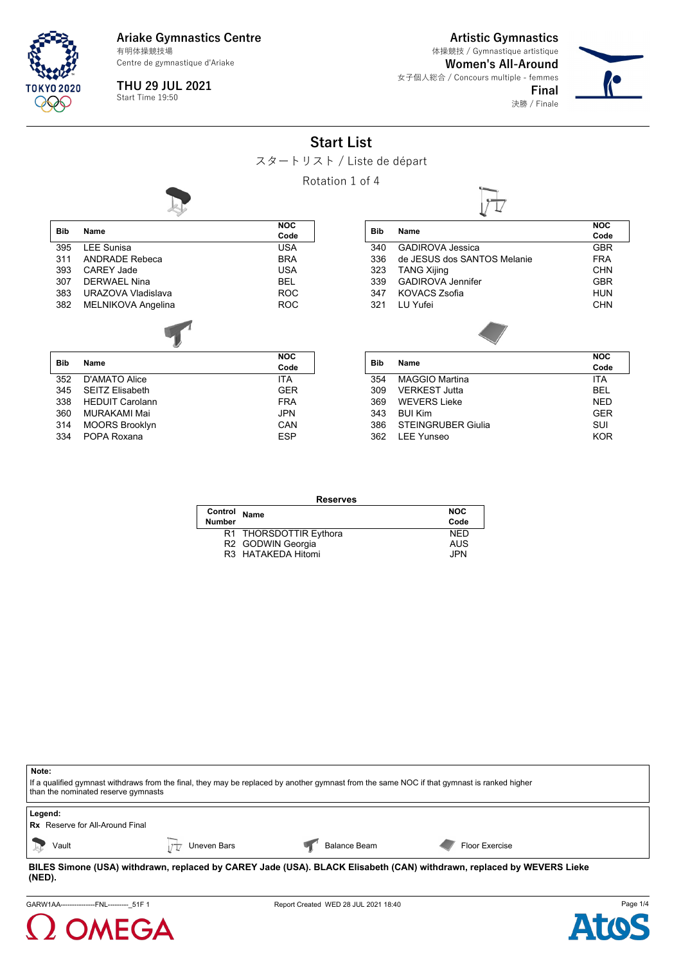

Centre de gymnastique d'Ariake

**THU 29 JUL 2021** Start Time 19:50

**Artistic Gymnastics**

**Women's All-Around** 女子個人総合 / Concours multiple - femmes 体操競技 / Gymnastique artistique



決勝 / Finale

**Final**

## **Start List**



Rotation 1 of 4



334 POPA Roxana **ESP** 

| Bib | Name                        | <b>NOC</b> |
|-----|-----------------------------|------------|
|     |                             | Code       |
| 340 | <b>GADIROVA Jessica</b>     | <b>GBR</b> |
| 336 | de JFSUS dos SANTOS Melanie | <b>FRA</b> |
| 323 | <b>TANG Xijing</b>          | <b>CHN</b> |
| 339 | <b>GADIROVA Jennifer</b>    | <b>GBR</b> |
| 347 | <b>KOVACS Zsofia</b>        | HUN        |
| 321 | LU Yufei                    | CHN        |
|     |                             |            |
| Bib | Name                        | <b>NOC</b> |
|     |                             | Code       |
| 354 | <b>MAGGIO Martina</b>       | <b>ITA</b> |
| 309 | <b>VERKEST Jutta</b>        | BEL        |
| 369 | <b>WEVERS Lieke</b>         | <b>NED</b> |

343 BUI Kim GER 386 STEINGRUBER Giulia SUI 362 LEE Yunseo KOR

|               | <b>Reserves</b>        |            |  |  |
|---------------|------------------------|------------|--|--|
| Control       | Name                   | <b>NOC</b> |  |  |
| <b>Number</b> |                        | Code       |  |  |
|               | R1 THORSDOTTIR Eythora | <b>NFD</b> |  |  |
|               | R2 GODWIN Georgia      | <b>AUS</b> |  |  |
|               | R3 HATAKEDA Hitomi     | JPN.       |  |  |

**Note:** If a qualified gymnast withdraws from the final, they may be replaced by another gymnast from the same NOC if that gymnast is ranked higher than the nominated reserve gymnasts **Legend: Rx** Reserve for All-Around Final Vault Vault Vault Vault Uneven Bars **Balance Beam Vault Vault Vault** Ploor Exercise

**BILES Simone (USA) withdrawn, replaced by CAREY Jade (USA). BLACK Elisabeth (CAN) withdrawn, replaced by WEVERS Lieke (NED).**

GARW1AA------------------FNL----------- 51F 1 **Report Created WED 28 JUL 2021 18:40** Page 1/4



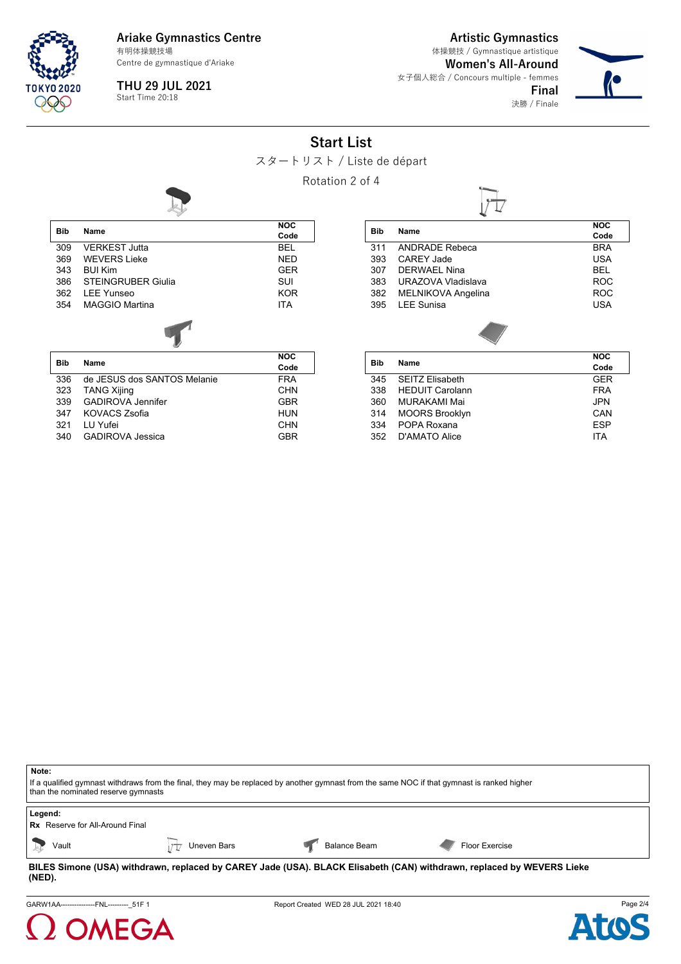

Centre de gymnastique d'Ariake

**THU 29 JUL 2021** Start Time 20:18

**Artistic Gymnastics**

**Women's All-Around** 女子個人総合 / Concours multiple - femmes 体操競技 / Gymnastique artistique



**Final** 決勝 / Finale

## **Start List**



Rotation 2 of 4



| <b>Bib</b> | Name                      | <b>NOC</b><br>Code |
|------------|---------------------------|--------------------|
| 309        | <b>VERKEST Jutta</b>      | <b>BEL</b>         |
| 369        | <b>WEVERS Lieke</b>       | <b>NED</b>         |
| 343        | <b>BUI Kim</b>            | <b>GER</b>         |
| 386        | <b>STEINGRUBER Giulia</b> | SUI                |
| 362        | <b>IFF Yunseo</b>         | <b>KOR</b>         |
| 354        | <b>MAGGIO Martina</b>     | <b>ITA</b>         |
|            |                           |                    |
| Bib        | Name                      | NOC                |
|            |                           |                    |

| Bib | Name                        | Code       |
|-----|-----------------------------|------------|
| 336 | de JESUS dos SANTOS Melanie | <b>FRA</b> |
| 323 | <b>TANG Xijing</b>          | <b>CHN</b> |
| 339 | <b>GADIROVA Jennifer</b>    | <b>GBR</b> |
| 347 | KOVACS Zsofia               | <b>HUN</b> |
| 321 | LU Yufei                    | <b>CHN</b> |
| 340 | <b>GADIROVA Jessica</b>     | <b>GBR</b> |
|     |                             |            |

| Bib        | Name                   | <b>NOC</b> |
|------------|------------------------|------------|
|            |                        | Code       |
| 311        | <b>ANDRADE Rebeca</b>  | <b>BRA</b> |
| 393        | <b>CAREY Jade</b>      | USA        |
| 307        | <b>DERWAEL Nina</b>    | BEL        |
| 383        | URAZOVA Vladislava     | <b>ROC</b> |
| 382        | MELNIKOVA Angelina     | <b>ROC</b> |
| 395        | <b>LEE Sunisa</b>      | USA        |
|            |                        |            |
| <b>Bib</b> | Name                   | <b>NOC</b> |
|            |                        | Code       |
| 345        | <b>SEITZ Elisabeth</b> | GER        |
| 338        | <b>HEDUIT Carolann</b> | <b>FRA</b> |
| 360        | MURAKAMI Mai           | JPN        |
| 314        | <b>MOORS Brooklyn</b>  | CAN        |
| 334        | POPA Roxana            | ESP        |
| 352        | D'AMATO Alice          | ITA        |

| Note:<br>If a qualified gymnast withdraws from the final, they may be replaced by another gymnast from the same NOC if that gymnast is ranked higher<br>than the nominated reserve gymnasts |
|---------------------------------------------------------------------------------------------------------------------------------------------------------------------------------------------|
| Legend:<br><b>Rx</b> Reserve for All-Around Final                                                                                                                                           |

| <b>Rx</b> Reserve for All-Around Final |  |  |  |
|----------------------------------------|--|--|--|
|                                        |  |  |  |

Vault Vault Vault Vault Uneven Bars **Balance Beam**  $\sqrt{\frac{1}{K}}$  Balance Beam **Floor Exercise** 

**BILES Simone (USA) withdrawn, replaced by CAREY Jade (USA). BLACK Elisabeth (CAN) withdrawn, replaced by WEVERS Lieke (NED).**

GARW1AA-----------------FNL------------51F 1 **Report Created WED 28 JUL 2021 18:40** Page 2/4



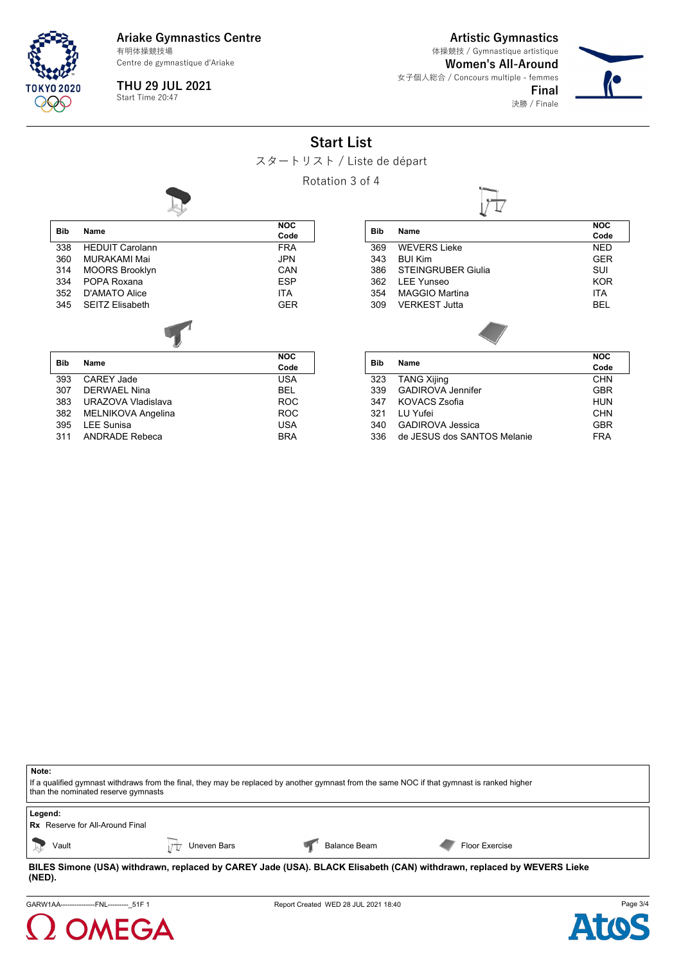

Centre de gymnastique d'Ariake

**THU 29 JUL 2021** Start Time 20:47

**Artistic Gymnastics**

**Final**

**Women's All-Around** 女子個人総合 / Concours multiple - femmes 体操競技 / Gymnastique artistique



決勝 / Finale

# **Start List**



Rotation 3 of 4



| <b>Bib</b> | <b>Name</b>            | <b>NOC</b> | <b>Bib</b> | Name             |
|------------|------------------------|------------|------------|------------------|
|            |                        | Code       |            |                  |
| 338        | <b>HEDUIT Carolann</b> | <b>FRA</b> | 369        | <b>WEV</b>       |
| 360        | MURAKAMI Mai           | <b>JPN</b> | 343        | <b>BUI K</b>     |
| 314        | <b>MOORS Brooklyn</b>  | <b>CAN</b> | 386        | <b>STEI</b>      |
| 334        | POPA Roxana            | <b>ESP</b> | 362        | LEE <sup>'</sup> |
| 352        | D'AMATO Alice          | <b>ITA</b> | 354        | <b>MAG</b>       |
| 345        | <b>SEITZ Elisabeth</b> | <b>GER</b> | 309        | <b>VERI</b>      |
|            |                        |            |            |                  |
| .          | $\blacksquare$         | <b>NOC</b> | .          |                  |

| <b>Bib</b> | Name               | Code       |  |
|------------|--------------------|------------|--|
| 393        | <b>CAREY Jade</b>  | <b>USA</b> |  |
| 307        | DERWAFI Nina       | BEL        |  |
| 383        | URAZOVA Vladislava | <b>ROC</b> |  |
| 382        | MELNIKOVA Angelina | <b>ROC</b> |  |
| 395        | <b>LEE Sunisa</b>  | <b>USA</b> |  |
| 311        | ANDRADE Rebeca     | <b>BRA</b> |  |
|            |                    |            |  |

| <b>Bib</b> | Name                      | <b>NOC</b><br>Code |
|------------|---------------------------|--------------------|
| 369        | <b>WEVERS Lieke</b>       | <b>NED</b>         |
| 343        | <b>BUI Kim</b>            | <b>GER</b>         |
| 386        | <b>STEINGRUBER Giulia</b> | SUI                |
| 362        | <b>LEE Yunseo</b>         | <b>KOR</b>         |
| 354        | <b>MAGGIO Martina</b>     | <b>ITA</b>         |
| 309        | VERKEST Jutta             | <b>BEL</b>         |
|            |                           |                    |
| Dih        | <b>Namo</b>               | <b>NOC</b>         |

| Bib | Name                        | טשו        |
|-----|-----------------------------|------------|
|     |                             | Code       |
| 323 | TANG Xijing                 | CHN        |
| 339 | <b>GADIROVA Jennifer</b>    | <b>GBR</b> |
| 347 | KOVACS Zsofia               | <b>HUN</b> |
| 321 | I U Yufei                   | <b>CHN</b> |
| 340 | <b>GADIROVA Jessica</b>     | <b>GBR</b> |
| 336 | de JESUS dos SANTOS Melanie | <b>FRA</b> |
|     |                             |            |

| Note:<br>If a qualified gymnast withdraws from the final, they may be replaced by another gymnast from the same NOC if that gymnast is ranked higher<br>than the nominated reserve gymnasts |             |                     |                       |  |  |
|---------------------------------------------------------------------------------------------------------------------------------------------------------------------------------------------|-------------|---------------------|-----------------------|--|--|
| Legend:<br><b>Rx</b> Reserve for All-Around Final                                                                                                                                           |             |                     |                       |  |  |
| Vault                                                                                                                                                                                       | Uneven Bars | <b>Balance Beam</b> | <b>Floor Exercise</b> |  |  |

**BILES Simone (USA) withdrawn, replaced by CAREY Jade (USA). BLACK Elisabeth (CAN) withdrawn, replaced by WEVERS Lieke (NED).**

GARW1AA------------------FNL-------------51F 1 **Report Created WED 28 JUL 2021 18:40** Page 3/4